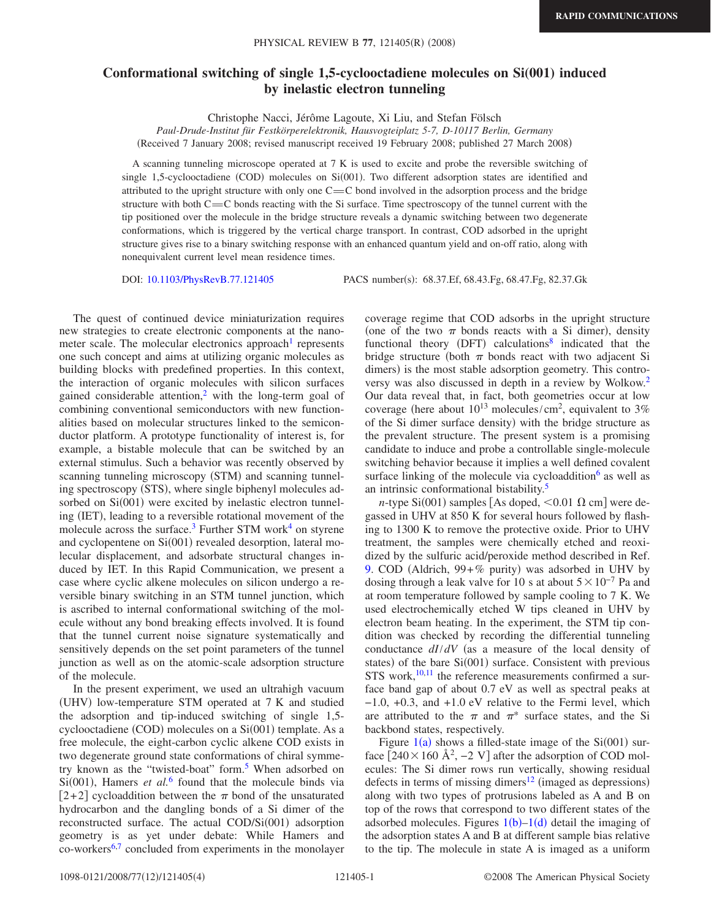## **Conformational switching of single 1,5-cyclooctadiene molecules on Si(001) induced by inelastic electron tunneling**

Christophe Nacci, Jérôme Lagoute, Xi Liu, and Stefan Fölsch

*Paul-Drude-Institut für Festkörperelektronik, Hausvogteiplatz 5-7, D-10117 Berlin, Germany* (Received 7 January 2008; revised manuscript received 19 February 2008; published 27 March 2008)

A scanning tunneling microscope operated at 7 K is used to excite and probe the reversible switching of single 1,5-cyclooctadiene (COD) molecules on Si(001). Two different adsorption states are identified and attributed to the upright structure with only one  $C = C$  bond involved in the adsorption process and the bridge structure with both  $C=C$  bonds reacting with the Si surface. Time spectroscopy of the tunnel current with the tip positioned over the molecule in the bridge structure reveals a dynamic switching between two degenerate conformations, which is triggered by the vertical charge transport. In contrast, COD adsorbed in the upright structure gives rise to a binary switching response with an enhanced quantum yield and on-off ratio, along with nonequivalent current level mean residence times.

DOI: [10.1103/PhysRevB.77.121405](http://dx.doi.org/10.1103/PhysRevB.77.121405)

PACS number(s): 68.37.Ef, 68.43.Fg, 68.47.Fg, 82.37.Gk

The quest of continued device miniaturization requires new strategies to create electronic components at the nanometer scale. The molecular electronics approach<sup>1</sup> represents one such concept and aims at utilizing organic molecules as building blocks with predefined properties. In this context, the interaction of organic molecules with silicon surfaces gained considerable attention, $2$  with the long-term goal of combining conventional semiconductors with new functionalities based on molecular structures linked to the semiconductor platform. A prototype functionality of interest is, for example, a bistable molecule that can be switched by an external stimulus. Such a behavior was recently observed by scanning tunneling microscopy (STM) and scanning tunneling spectroscopy (STS), where single biphenyl molecules adsorbed on Si(001) were excited by inelastic electron tunneling (IET), leading to a reversible rotational movement of the molecule across the surface.<sup>3</sup> Further STM work<sup>4</sup> on styrene and cyclopentene on Si(001) revealed desorption, lateral molecular displacement, and adsorbate structural changes induced by IET. In this Rapid Communication, we present a case where cyclic alkene molecules on silicon undergo a reversible binary switching in an STM tunnel junction, which is ascribed to internal conformational switching of the molecule without any bond breaking effects involved. It is found that the tunnel current noise signature systematically and sensitively depends on the set point parameters of the tunnel junction as well as on the atomic-scale adsorption structure of the molecule.

In the present experiment, we used an ultrahigh vacuum (UHV) low-temperature STM operated at 7 K and studied the adsorption and tip-induced switching of single 1,5 cyclooctadiene (COD) molecules on a Si(001) template. As a free molecule, the eight-carbon cyclic alkene COD exists in two degenerate ground state conformations of chiral symmetry known as the "twisted-boat" form.<sup>5</sup> When adsorbed on  $Si(001)$ , Hamers *et al.*<sup>[6](#page-3-5)</sup> found that the molecule binds via  $[2+2]$  cycloaddition between the  $\pi$  bond of the unsaturated hydrocarbon and the dangling bonds of a Si dimer of the reconstructed surface. The actual COD/Si(001) adsorption geometry is as yet under debate: While Hamers and co-workers<sup>6[,7](#page-3-6)</sup> concluded from experiments in the monolayer coverage regime that COD adsorbs in the upright structure (one of the two  $\pi$  bonds reacts with a Si dimer), density functional theory (DFT) calculations<sup>8</sup> indicated that the bridge structure (both  $\pi$  bonds react with two adjacent Si dimers) is the most stable adsorption geometry. This controversy was also discussed in depth in a review by Wolkow[.2](#page-3-1) Our data reveal that, in fact, both geometries occur at low coverage (here about  $10^{13}$  molecules/cm<sup>2</sup>, equivalent to 3% of the Si dimer surface density) with the bridge structure as the prevalent structure. The present system is a promising candidate to induce and probe a controllable single-molecule switching behavior because it implies a well defined covalent surface linking of the molecule via cycloaddition $6$  as well as an intrinsic conformational bistability.<sup>5</sup>

*n*-type Si(001) samples [As doped,  $\leq$  0.01  $\Omega$  cm] were degassed in UHV at 850 K for several hours followed by flashing to 1300 K to remove the protective oxide. Prior to UHV treatment, the samples were chemically etched and reoxidized by the sulfuric acid/peroxide method described in Ref. [9.](#page-3-8) COD (Aldrich,  $99 + \%$  purity) was adsorbed in UHV by dosing through a leak valve for 10 s at about  $5\times10^{-7}$  Pa and at room temperature followed by sample cooling to 7 K. We used electrochemically etched W tips cleaned in UHV by electron beam heating. In the experiment, the STM tip condition was checked by recording the differential tunneling conductance  $dI/dV$  (as a measure of the local density of states) of the bare Si(001) surface. Consistent with previous STS work, $10,11$  $10,11$  the reference measurements confirmed a surface band gap of about 0.7 eV as well as spectral peaks at −1.0, +0.3, and +1.0 eV relative to the Fermi level, which are attributed to the  $\pi$  and  $\pi^*$  surface states, and the Si backbond states, respectively.

Figure  $1(a)$  $1(a)$  shows a filled-state image of the Si $(001)$  surface  $[240 \times 160 \text{ Å}^2, -2 \text{ V}]$  after the adsorption of COD molecules: The Si dimer rows run vertically, showing residual defects in terms of missing dimers<sup>12</sup> (imaged as depressions) along with two types of protrusions labeled as A and B on top of the rows that correspond to two different states of the adsorbed molecules. Figures  $1(b)-1(d)$  $1(b)-1(d)$  detail the imaging of the adsorption states A and B at different sample bias relative to the tip. The molecule in state A is imaged as a uniform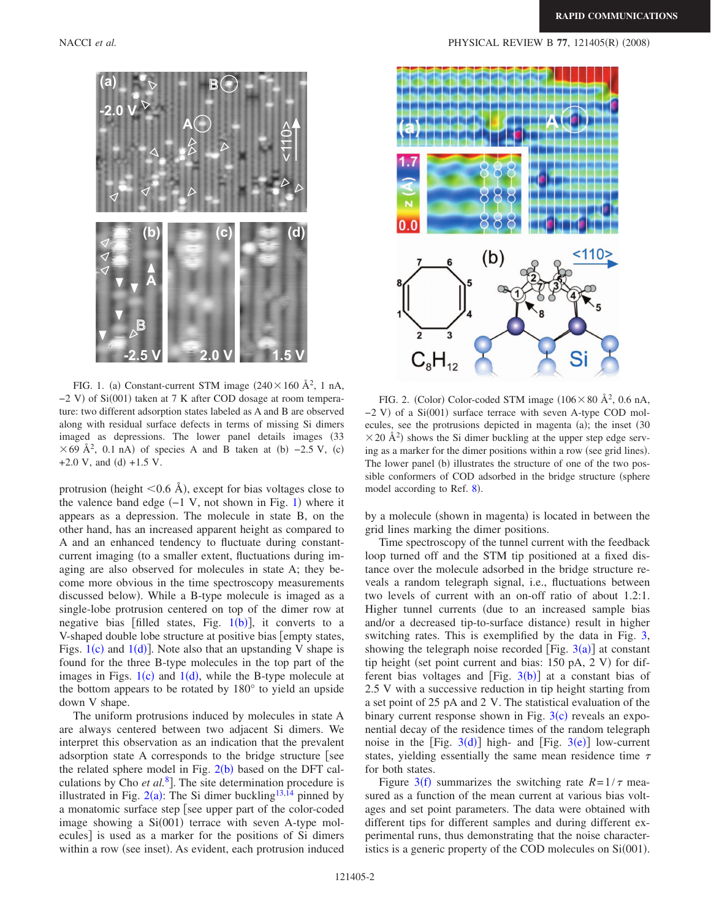<span id="page-1-0"></span>

FIG. 1. (a) Constant-current STM image  $(240 \times 160 \text{ Å}^2, 1 \text{ nA},$ -2 V) of Si(001) taken at 7 K after COD dosage at room temperature: two different adsorption states labeled as A and B are observed along with residual surface defects in terms of missing Si dimers imaged as depressions. The lower panel details images (33  $\times$  69 Å<sup>2</sup>, 0.1 nA) of species A and B taken at (b) -2.5 V, (c)  $+2.0$  V, and (d)  $+1.5$  V.

protrusion (height  $\leq 0.6$  Å), except for bias voltages close to the valence band edge  $(-1 \text{ V}, \text{not shown in Fig. 1})$  $(-1 \text{ V}, \text{not shown in Fig. 1})$  $(-1 \text{ V}, \text{not shown in Fig. 1})$  where it appears as a depression. The molecule in state B, on the other hand, has an increased apparent height as compared to A and an enhanced tendency to fluctuate during constantcurrent imaging (to a smaller extent, fluctuations during imaging are also observed for molecules in state A; they become more obvious in the time spectroscopy measurements discussed below). While a B-type molecule is imaged as a single-lobe protrusion centered on top of the dimer row at negative bias [filled states, Fig.  $1(b)$  $1(b)$ ], it converts to a V-shaped double lobe structure at positive bias [empty states, Figs.  $1(c)$  $1(c)$  and  $1(d)$ ]. Note also that an upstanding V shape is found for the three B-type molecules in the top part of the images in Figs.  $1(c)$  $1(c)$  and  $1(d)$ , while the B-type molecule at the bottom appears to be rotated by 180° to yield an upside down V shape.

The uniform protrusions induced by molecules in state A are always centered between two adjacent Si dimers. We interpret this observation as an indication that the prevalent adsorption state A corresponds to the bridge structure see the related sphere model in Fig.  $2(b)$  $2(b)$  based on the DFT calculations by Cho *et al.*<sup>[8](#page-3-7)</sup>. The site determination procedure is illustrated in Fig.  $2(a)$  $2(a)$ : The Si dimer buckling<sup>13[,14](#page-3-13)</sup> pinned by a monatomic surface step see upper part of the color-coded image showing a Si(001) terrace with seven A-type molecules] is used as a marker for the positions of Si dimers within a row (see inset). As evident, each protrusion induced

<span id="page-1-1"></span>

FIG. 2. (Color) Color-coded STM image  $(106 \times 80 \text{ Å}^2, 0.6 \text{ nA},$ -2 V) of a Si(001) surface terrace with seven A-type COD molecules, see the protrusions depicted in magenta (a); the inset (30  $\times$  20 Å<sup>2</sup>) shows the Si dimer buckling at the upper step edge serving as a marker for the dimer positions within a row (see grid lines). The lower panel (b) illustrates the structure of one of the two possible conformers of COD adsorbed in the bridge structure (sphere model according to Ref. [8](#page-3-7)).

by a molecule (shown in magenta) is located in between the grid lines marking the dimer positions.

Time spectroscopy of the tunnel current with the feedback loop turned off and the STM tip positioned at a fixed distance over the molecule adsorbed in the bridge structure reveals a random telegraph signal, i.e., fluctuations between two levels of current with an on-off ratio of about 1.2:1. Higher tunnel currents (due to an increased sample bias and/or a decreased tip-to-surface distance) result in higher switching rates. This is exemplified by the data in Fig. [3,](#page-2-0) showing the telegraph noise recorded [Fig.  $3(a)$  $3(a)$ ] at constant tip height (set point current and bias:  $150$  pA,  $2$  V) for different bias voltages and  $[Fig. 3(b)]$  $[Fig. 3(b)]$  $[Fig. 3(b)]$  at a constant bias of 2.5 V with a successive reduction in tip height starting from a set point of 25 pA and 2 V. The statistical evaluation of the binary current response shown in Fig.  $3(c)$  $3(c)$  reveals an exponential decay of the residence times of the random telegraph noise in the [Fig.  $3(d)$  $3(d)$ ] high- and [Fig.  $3(e)$ ] low-current states, yielding essentially the same mean residence time  $\tau$ for both states.

Figure [3](#page-2-0)(f) summarizes the switching rate  $R=1/\tau$  measured as a function of the mean current at various bias voltages and set point parameters. The data were obtained with different tips for different samples and during different experimental runs, thus demonstrating that the noise characteristics is a generic property of the COD molecules on  $Si(001)$ .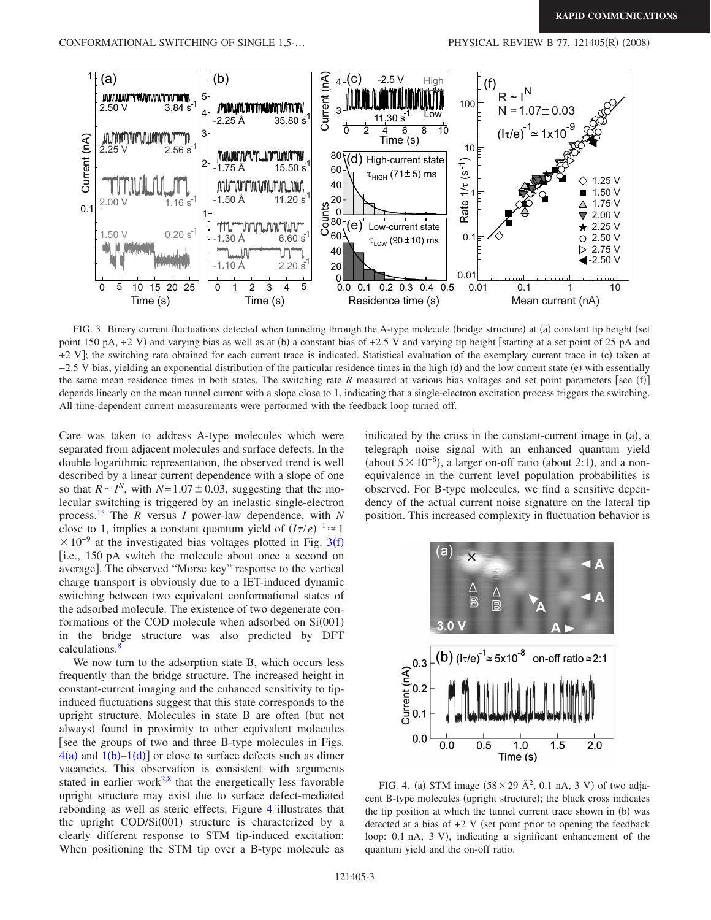<span id="page-2-0"></span>

FIG. 3. Binary current fluctuations detected when tunneling through the A-type molecule (bridge structure) at (a) constant tip height (set point 150 pA, +2 V) and varying bias as well as at (b) a constant bias of +2.5 V and varying tip height [starting at a set point of 25 pA and +2 V]; the switching rate obtained for each current trace is indicated. Statistical evaluation of the exemplary current trace in (c) taken at −2.5 V bias, yielding an exponential distribution of the particular residence times in the high (d) and the low current state (e) with essentially the same mean residence times in both states. The switching rate *R* measured at various bias voltages and set point parameters [see (f)] depends linearly on the mean tunnel current with a slope close to 1, indicating that a single-electron excitation process triggers the switching. All time-dependent current measurements were performed with the feedback loop turned off.

Care was taken to address A-type molecules which were separated from adjacent molecules and surface defects. In the double logarithmic representation, the observed trend is well described by a linear current dependence with a slope of one so that  $R \sim I^N$ , with  $N=1.07\pm0.03$ , suggesting that the molecular switching is triggered by an inelastic single-electron process[.15](#page-3-14) The *R* versus *I* power-law dependence, with *N* close to 1, implies a constant quantum yield of  $(I\tau/e)^{-1} \approx 1$  $\times 10^{-9}$  at the investigated bias voltages plotted in Fig. [3](#page-2-0)(f) i.e., 150 pA switch the molecule about once a second on average]. The observed "Morse key" response to the vertical charge transport is obviously due to a IET-induced dynamic switching between two equivalent conformational states of the adsorbed molecule. The existence of two degenerate conformations of the COD molecule when adsorbed on  $Si(001)$ in the bridge structure was also predicted by DFT calculations.<sup>8</sup>

We now turn to the adsorption state B, which occurs less frequently than the bridge structure. The increased height in constant-current imaging and the enhanced sensitivity to tipinduced fluctuations suggest that this state corresponds to the upright structure. Molecules in state B are often (but not always) found in proximity to other equivalent molecules [see the groups of two and three B-type molecules in Figs.  $4(a)$  $4(a)$  and  $1(b)-1(d)$  $1(b)-1(d)$  or close to surface defects such as dimer vacancies. This observation is consistent with arguments stated in earlier work<sup>2[,8](#page-3-7)</sup> that the energetically less favorable upright structure may exist due to surface defect-mediated rebonding as well as steric effects. Figure [4](#page-2-1) illustrates that the upright COD/Si(001) structure is characterized by a clearly different response to STM tip-induced excitation: When positioning the STM tip over a B-type molecule as

indicated by the cross in the constant-current image in (a), a telegraph noise signal with an enhanced quantum yield (about  $5 \times 10^{-8}$ ), a larger on-off ratio (about 2:1), and a nonequivalence in the current level population probabilities is observed. For B-type molecules, we find a sensitive dependency of the actual current noise signature on the lateral tip position. This increased complexity in fluctuation behavior is

<span id="page-2-1"></span>

FIG. 4. (a) STM image  $(58 \times 29 \text{ Å}^2, 0.1 \text{ nA}, 3 \text{ V})$  of two adjacent B-type molecules (upright structure); the black cross indicates the tip position at which the tunnel current trace shown in (b) was detected at a bias of  $+2$  V (set point prior to opening the feedback loop: 0.1 nA, 3 V), indicating a significant enhancement of the quantum yield and the on-off ratio.